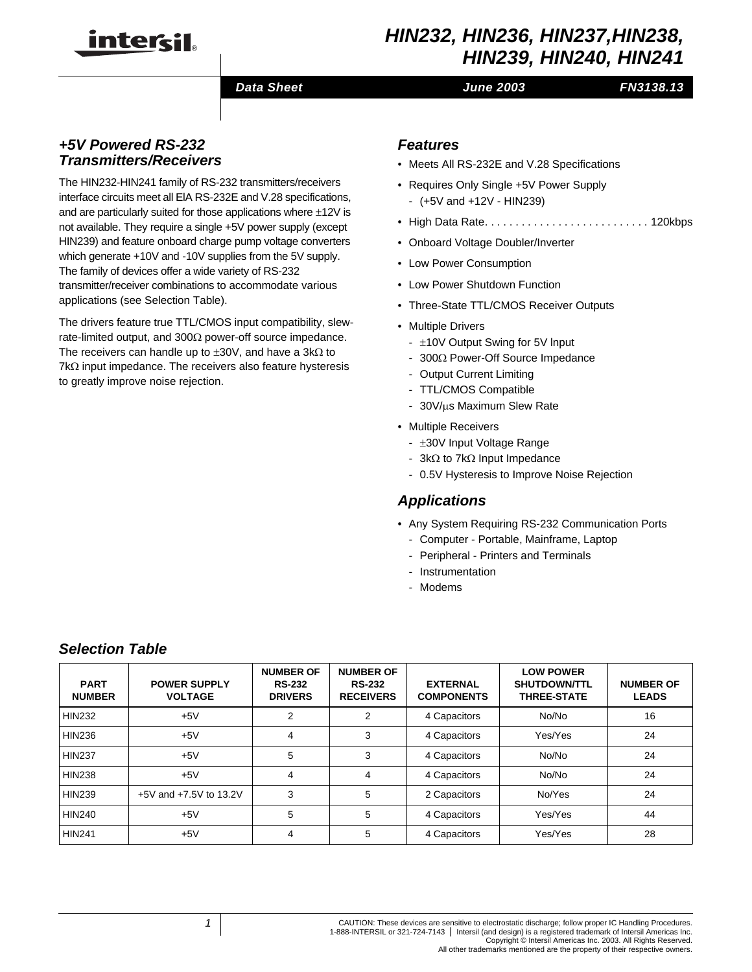

# *HIN232, HIN236, HIN237,HIN238, HIN239, HIN240, HIN241*

### *Data Sheet June 2003*

# *FN3138.13*

# *+5V Powered RS-232 Transmitters/Receivers*

The HIN232-HIN241 family of RS-232 transmitters/receivers interface circuits meet all ElA RS-232E and V.28 specifications, and are particularly suited for those applications where  $\pm 12V$  is not available. They require a single +5V power supply (except HIN239) and feature onboard charge pump voltage converters which generate +10V and -10V supplies from the 5V supply. The family of devices offer a wide variety of RS-232 transmitter/receiver combinations to accommodate various applications (see Selection Table).

The drivers feature true TTL/CMOS input compatibility, slewrate-limited output, and 300Ω power-off source impedance. The receivers can handle up to  $\pm 30V$ , and have a 3kΩ to 7kΩ input impedance. The receivers also feature hysteresis to greatly improve noise rejection.

# *Features*

- Meets All RS-232E and V.28 Specifications
- Requires Only Single +5V Power Supply
	- (+5V and +12V HIN239)
- High Data Rate. . . . . . . . . . . . . . . . . . . . . . . . . . . 120kbps
- Onboard Voltage Doubler/Inverter
- Low Power Consumption
- Low Power Shutdown Function
- Three-State TTL/CMOS Receiver Outputs
- Multiple Drivers
	- $\pm$ 10V Output Swing for 5V Input
	- 300Ω Power-Off Source Impedance
	- Output Current Limiting
	- TTL/CMOS Compatible
	- 30V/µs Maximum Slew Rate
- Multiple Receivers
	- ±30V Input Voltage Range
	- 3kΩ to 7kΩ Input Impedance
	- 0.5V Hysteresis to Improve Noise Rejection

### *Applications*

- Any System Requiring RS-232 Communication Ports
	- Computer Portable, Mainframe, Laptop
	- Peripheral Printers and Terminals
	- Instrumentation
	- Modems

### *Selection Table*

| <b>PART</b><br><b>NUMBER</b> | <b>POWER SUPPLY</b><br><b>VOLTAGE</b> | <b>NUMBER OF</b><br><b>RS-232</b><br><b>DRIVERS</b> | <b>NUMBER OF</b><br><b>RS-232</b><br><b>RECEIVERS</b> | <b>EXTERNAL</b><br><b>COMPONENTS</b> | <b>LOW POWER</b><br><b>SHUTDOWN/TTL</b><br><b>THREE-STATE</b> | <b>NUMBER OF</b><br><b>LEADS</b> |
|------------------------------|---------------------------------------|-----------------------------------------------------|-------------------------------------------------------|--------------------------------------|---------------------------------------------------------------|----------------------------------|
| <b>HIN232</b>                | $+5V$                                 | 2                                                   | 2                                                     | 4 Capacitors                         | No/No                                                         | 16                               |
| <b>HIN236</b>                | $+5V$                                 | 4                                                   | 3                                                     | 4 Capacitors                         | Yes/Yes                                                       | 24                               |
| <b>HIN237</b>                | $+5V$                                 | 5                                                   | 3                                                     | 4 Capacitors                         | No/No                                                         | 24                               |
| <b>HIN238</b>                | $+5V$                                 | 4                                                   | 4                                                     | 4 Capacitors                         | No/No                                                         | 24                               |
| <b>HIN239</b>                | +5V and +7.5V to 13.2V                | 3                                                   | 5                                                     | 2 Capacitors                         | No/Yes                                                        | 24                               |
| <b>HIN240</b>                | $+5V$                                 | 5                                                   | 5                                                     | 4 Capacitors                         | Yes/Yes                                                       | 44                               |
| <b>HIN241</b>                | $+5V$                                 | 4                                                   | 5                                                     | 4 Capacitors                         | Yes/Yes                                                       | 28                               |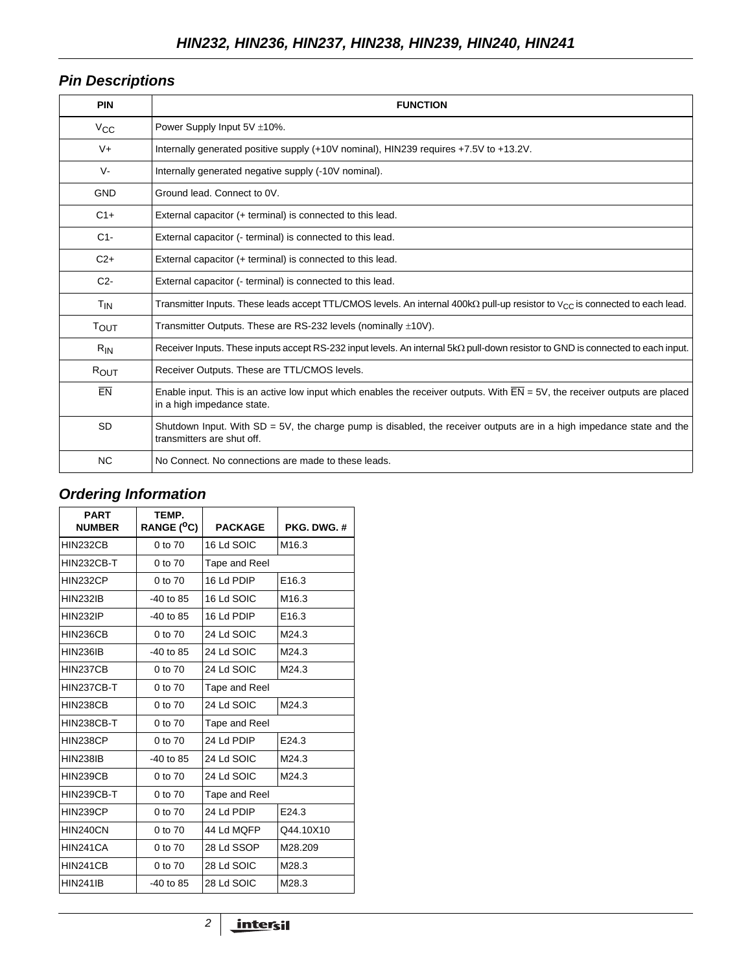# *Pin Descriptions*

| <b>PIN</b>     | <b>FUNCTION</b>                                                                                                                                                         |
|----------------|-------------------------------------------------------------------------------------------------------------------------------------------------------------------------|
| $V_{CC}$       | Power Supply Input 5V ±10%.                                                                                                                                             |
| $V +$          | Internally generated positive supply (+10V nominal), HIN239 requires +7.5V to +13.2V.                                                                                   |
| V-             | Internally generated negative supply (-10V nominal).                                                                                                                    |
| <b>GND</b>     | Ground lead. Connect to OV.                                                                                                                                             |
| $C1+$          | External capacitor (+ terminal) is connected to this lead.                                                                                                              |
| $C1-$          | External capacitor (- terminal) is connected to this lead.                                                                                                              |
| $C2+$          | External capacitor (+ terminal) is connected to this lead.                                                                                                              |
| C <sub>2</sub> | External capacitor (- terminal) is connected to this lead.                                                                                                              |
| $T_{IN}$       | Transmitter Inputs. These leads accept TTL/CMOS levels. An internal 400k $\Omega$ pull-up resistor to $V_{CC}$ is connected to each lead.                               |
| TOUT           | Transmitter Outputs. These are RS-232 levels (nominally $\pm$ 10V).                                                                                                     |
| $R_{IN}$       | Receiver Inputs. These inputs accept RS-232 input levels. An internal $5k\Omega$ pull-down resistor to GND is connected to each input.                                  |
| ROUT           | Receiver Outputs. These are TTL/CMOS levels.                                                                                                                            |
| EN             | Enable input. This is an active low input which enables the receiver outputs. With $\overline{EN} = 5V$ , the receiver outputs are placed<br>in a high impedance state. |
| <b>SD</b>      | Shutdown Input. With $SD = 5V$ , the charge pump is disabled, the receiver outputs are in a high impedance state and the<br>transmitters are shut off.                  |
| <b>NC</b>      | No Connect. No connections are made to these leads.                                                                                                                     |

# *Ordering Information*

| <b>PART</b><br><b>NUMBER</b> | TEMP.<br>RANGE ( <sup>O</sup> C) | <b>PACKAGE</b> | PKG. DWG. #       |  |
|------------------------------|----------------------------------|----------------|-------------------|--|
| <b>HIN232CB</b>              | 0 to 70                          | 16 Ld SOIC     | M <sub>16.3</sub> |  |
| <b>HIN232CB-T</b>            | 0 to 70                          | Tape and Reel  |                   |  |
| <b>HIN232CP</b>              | 0 to 70                          | 16 Ld PDIP     | E <sub>16.3</sub> |  |
| <b>HIN232IB</b>              | $-40$ to 85                      | 16 Ld SOIC     | M <sub>16.3</sub> |  |
| <b>HIN232IP</b>              | $-40$ to 85                      | 16 Ld PDIP     | E <sub>16.3</sub> |  |
| <b>HIN236CB</b>              | 0 to 70                          | 24 Ld SOIC     | M24.3             |  |
| <b>HIN236IB</b>              | $-40$ to 85                      | 24 Ld SOIC     | M24.3             |  |
| <b>HIN237CB</b>              | 0 to 70                          | 24 Ld SOIC     | M24.3             |  |
| HIN237CB-T                   | 0 to 70                          | Tape and Reel  |                   |  |
| <b>HIN238CB</b>              | 0 to 70                          | 24 Ld SOIC     | M <sub>24.3</sub> |  |
| <b>HIN238CB-T</b>            | 0 to 70                          | Tape and Reel  |                   |  |
| <b>HIN238CP</b>              | 0 to 70                          | 24 Ld PDIP     | E24.3             |  |
| <b>HIN238IB</b>              | $-40$ to 85                      | 24 Ld SOIC     | M24.3             |  |
| <b>HIN239CB</b>              | 0 to 70                          | 24 Ld SOIC     | M24.3             |  |
| HIN239CB-T                   | 0 to 70                          | Tape and Reel  |                   |  |
| <b>HIN239CP</b>              | 0 to 70                          | 24 Ld PDIP     | E24.3             |  |
| HIN240CN                     | 0 to 70                          | 44 Ld MQFP     | Q44.10X10         |  |
| HIN241CA                     | 0 to 70                          | 28 Ld SSOP     | M28.209           |  |
| <b>HIN241CB</b>              | 0 to 70                          | 28 Ld SOIC     | M28.3             |  |
| <b>HIN241IB</b>              | $-40$ to 85                      | 28 Ld SOIC     | M28.3             |  |

*2*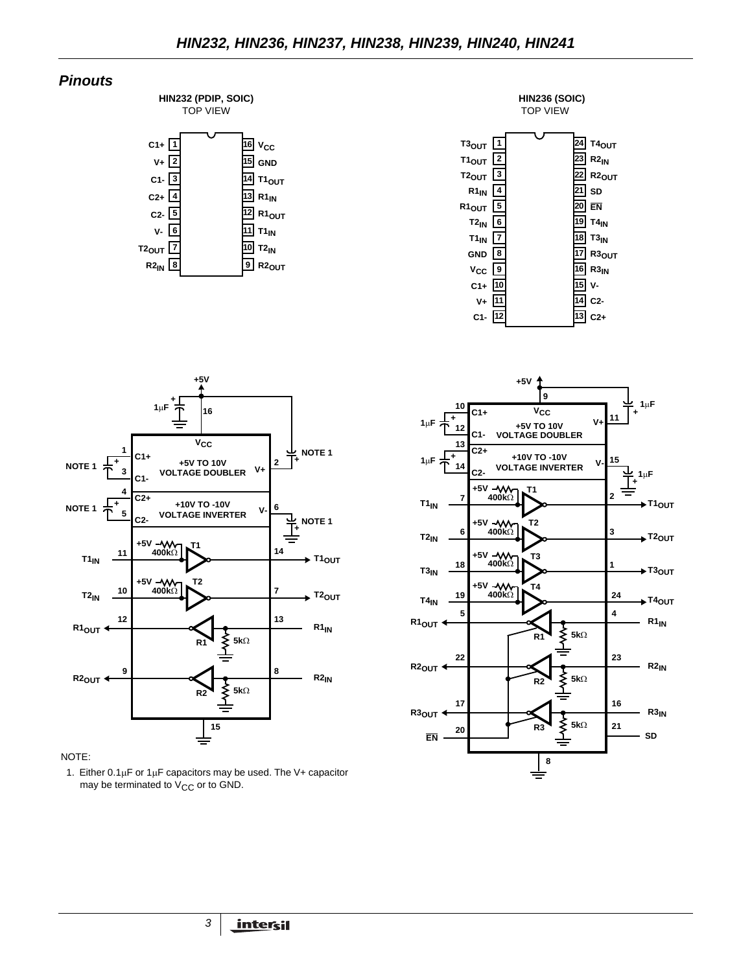# *Pinouts*









### NOTE:

1. Either  $0.1 \mu$ F or  $1 \mu$ F capacitors may be used. The V+ capacitor may be terminated to  $V_{CC}$  or to GND.

*3*

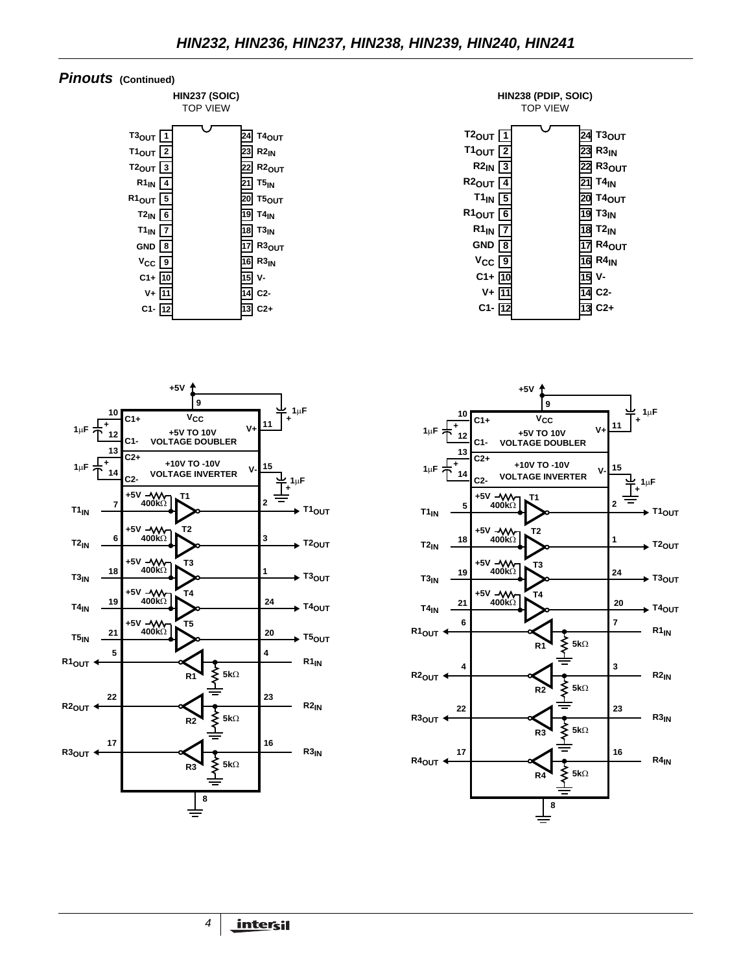### *Pinouts* **(Continued)**











*4*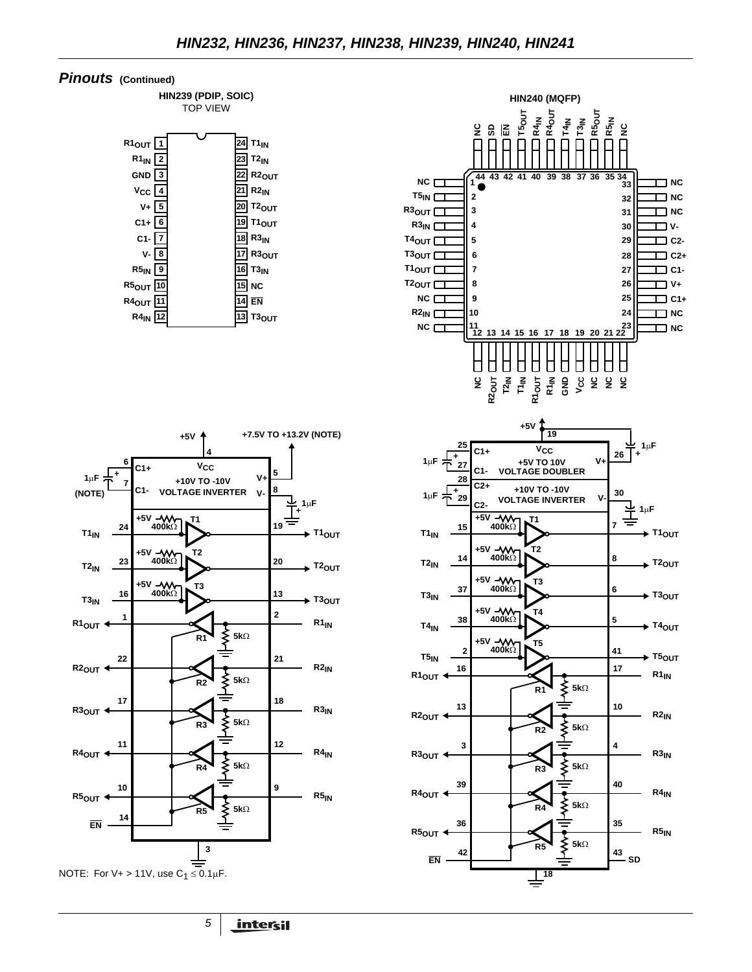### *Pinouts* **(Continued)**

**HIN239 (PDIP, SOIC)** TOP VIEW





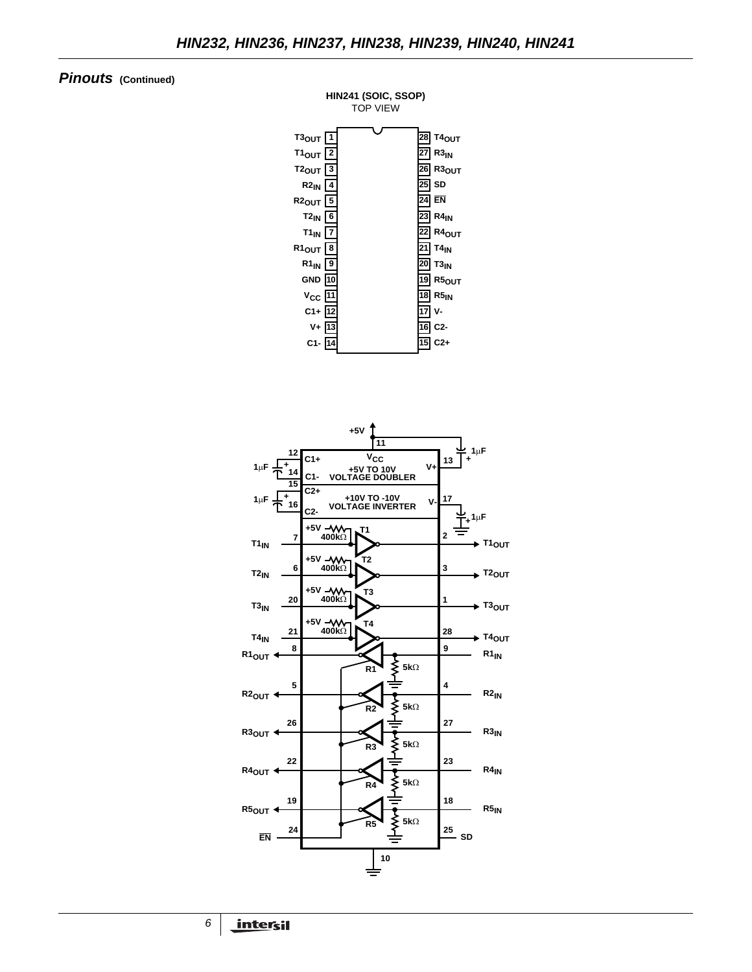# *Pinouts* **(Continued)**



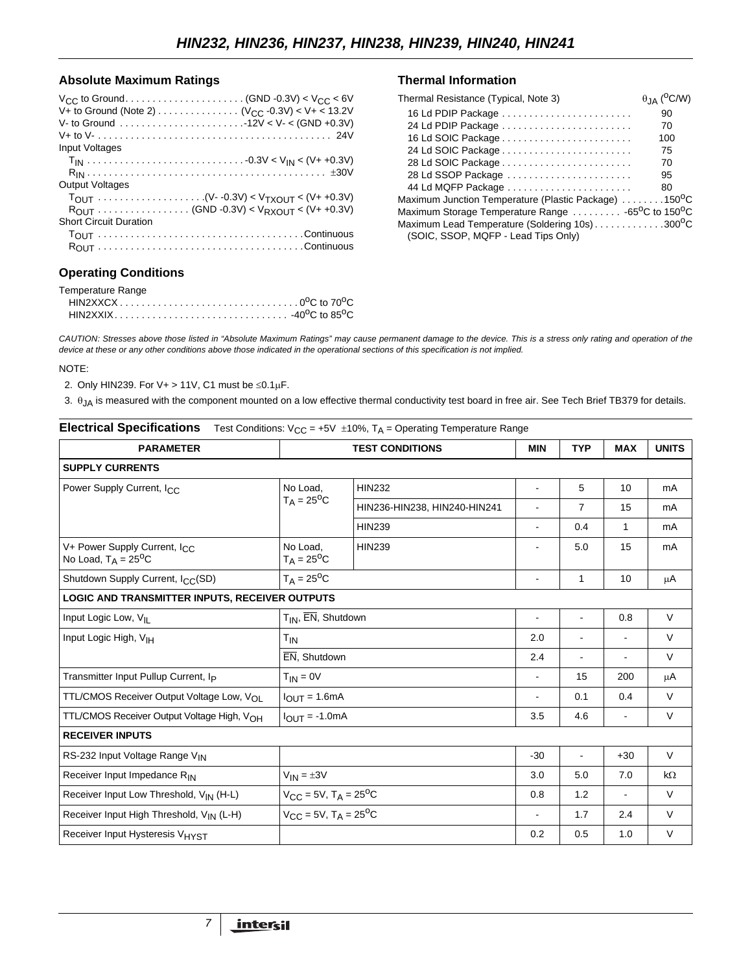### **Absolute Maximum Ratings**

| <b>Input Voltages</b>         |  |
|-------------------------------|--|
|                               |  |
| <b>Output Voltages</b>        |  |
|                               |  |
| <b>Short Circuit Duration</b> |  |
|                               |  |

# **Operating Conditions**

| Temperature Range |  |
|-------------------|--|
|                   |  |
|                   |  |

| Thermal Resistance (Typical, Note 3)                                                              | $\theta_{JA}$ (°C/W) |
|---------------------------------------------------------------------------------------------------|----------------------|
| 16 Ld PDIP Package                                                                                | 90                   |
| 24 Ld PDIP Package                                                                                | 70                   |
| 16 Ld SOIC Package                                                                                | 100                  |
| 24 Ld SOIC Package                                                                                | 75                   |
| 28 Ld SOIC Package                                                                                | 70                   |
| 28 Ld SSOP Package                                                                                | 95                   |
|                                                                                                   | 80                   |
| Maximum Junction Temperature (Plastic Package) 150 <sup>0</sup> C                                 |                      |
| Maximum Storage Temperature Range $\ldots \ldots \ldots$ -65 <sup>o</sup> C to 150 <sup>o</sup> C |                      |
| Maximum Lead Temperature (Soldering 10s)300 <sup>o</sup> C                                        |                      |
| (SOIC, SSOP, MQFP - Lead Tips Only)                                                               |                      |

*CAUTION: Stresses above those listed in "Absolute Maximum Ratings" may cause permanent damage to the device. This is a stress only rating and operation of the device at these or any other conditions above those indicated in the operational sections of this specification is not implied.*

#### NOTE:

2. Only HIN239. For V+ > 11V, C1 must be  $\leq 0.1 \mu$ F.

3.  $\theta$ <sub>JA</sub> is measured with the component mounted on a low effective thermal conductivity test board in free air. See Tech Brief TB379 for details.

| <b>Electrical Specifications</b>                                         |                                                   | Test Conditions: $V_{CC} = +5V \pm 10\%$ , T <sub>A</sub> = Operating Temperature Range |                          |                          |                |              |  |  |  |
|--------------------------------------------------------------------------|---------------------------------------------------|-----------------------------------------------------------------------------------------|--------------------------|--------------------------|----------------|--------------|--|--|--|
| <b>PARAMETER</b>                                                         |                                                   | <b>TEST CONDITIONS</b>                                                                  | <b>MIN</b>               | <b>TYP</b>               | <b>MAX</b>     | <b>UNITS</b> |  |  |  |
| <b>SUPPLY CURRENTS</b>                                                   |                                                   |                                                                                         |                          |                          |                |              |  |  |  |
| Power Supply Current, I <sub>CC</sub>                                    | No Load,                                          | <b>HIN232</b>                                                                           | $\blacksquare$           | 5                        | 10             | mA           |  |  |  |
|                                                                          | $T_A = 25^{\circ}C$                               | HIN236-HIN238, HIN240-HIN241                                                            | $\overline{\phantom{a}}$ | $\overline{7}$           | 15             | mA           |  |  |  |
|                                                                          |                                                   | <b>HIN239</b>                                                                           | $\sim$                   | 0.4                      | $\mathbf{1}$   | mA           |  |  |  |
| V+ Power Supply Current, I <sub>CC</sub><br>No Load, $T_A = 25^{\circ}C$ | No Load,<br>$T_A = 25^{\circ}C$                   | <b>HIN239</b>                                                                           |                          | 5.0                      | 15             | mA           |  |  |  |
| Shutdown Supply Current, I <sub>CC</sub> (SD)                            | $T_A = 25^{\circ}C$                               |                                                                                         | $\blacksquare$           | 1                        | 10             | μA           |  |  |  |
| LOGIC AND TRANSMITTER INPUTS, RECEIVER OUTPUTS                           |                                                   |                                                                                         |                          |                          |                |              |  |  |  |
| Input Logic Low, VII                                                     | $T_{IN}$ , $\overline{EN}$ , Shutdown             |                                                                                         |                          |                          | 0.8            | V            |  |  |  |
| Input Logic High, V <sub>IH</sub>                                        | T <sub>IN</sub>                                   |                                                                                         | 2.0                      | $\blacksquare$           | $\blacksquare$ | V            |  |  |  |
|                                                                          | EN, Shutdown                                      |                                                                                         | 2.4                      | $\blacksquare$           | $\blacksquare$ | V            |  |  |  |
| Transmitter Input Pullup Current, Ip                                     | $T_{IN} = 0V$                                     |                                                                                         | $\blacksquare$           | 15                       | 200            | μA           |  |  |  |
| TTL/CMOS Receiver Output Voltage Low, VOL                                | $IOUT = 1.6mA$                                    |                                                                                         |                          | 0.1                      | 0.4            | V            |  |  |  |
| TTL/CMOS Receiver Output Voltage High, VOH                               | $I_{\text{OUT}} = -1.0 \text{mA}$                 |                                                                                         | 3.5                      | 4.6                      | $\blacksquare$ | V            |  |  |  |
| <b>RECEIVER INPUTS</b>                                                   |                                                   |                                                                                         |                          |                          |                |              |  |  |  |
| RS-232 Input Voltage Range VIN                                           |                                                   |                                                                                         | $-30$                    | $\overline{\phantom{a}}$ | $+30$          | $\vee$       |  |  |  |
| Receiver Input Impedance RIN                                             | $V_{IN} = \pm 3V$                                 |                                                                                         | 3.0                      | 5.0                      | 7.0            | $k\Omega$    |  |  |  |
| Receiver Input Low Threshold, V <sub>IN</sub> (H-L)                      | $V_{CC}$ = 5V, T <sub>A</sub> = 25 <sup>o</sup> C |                                                                                         | 0.8                      | 1.2                      | $\blacksquare$ | V            |  |  |  |
| Receiver Input High Threshold, V <sub>IN</sub> (L-H)                     | $V_{CC}$ = 5V, T <sub>A</sub> = 25 <sup>o</sup> C |                                                                                         | $\blacksquare$           | 1.7                      | 2.4            | $\vee$       |  |  |  |
| Receiver Input Hysteresis V <sub>HYST</sub>                              |                                                   |                                                                                         | 0.2                      | 0.5                      | 1.0            | V            |  |  |  |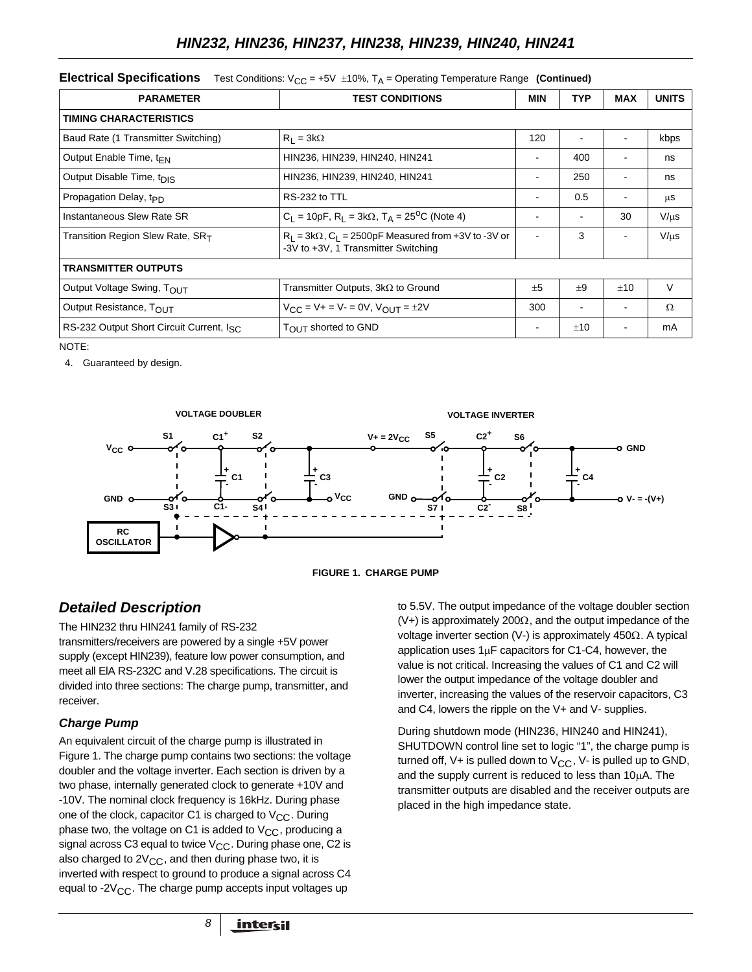### **Electrical Specifications** Test Conditions:  $V_{CC} = +5V \pm 10\%$ ,  $T_A =$  Operating Temperature Range (Continued)

| <b>PARAMETER</b>                                                                                                                            | <b>TEST CONDITIONS</b>                                         | <b>MIN</b>               | <b>TYP</b> | <b>MAX</b> | <b>UNITS</b> |
|---------------------------------------------------------------------------------------------------------------------------------------------|----------------------------------------------------------------|--------------------------|------------|------------|--------------|
| <b>TIMING CHARACTERISTICS</b>                                                                                                               |                                                                |                          |            |            |              |
| Baud Rate (1 Transmitter Switching)                                                                                                         | $R_1 = 3k\Omega$                                               | 120                      |            |            | kbps         |
| Output Enable Time, $t_{\text{FN}}$                                                                                                         | HIN236, HIN239, HIN240, HIN241                                 | $\blacksquare$           | 400        |            | ns           |
| Output Disable Time, t <sub>DIS</sub>                                                                                                       | HIN236, HIN239, HIN240, HIN241                                 | $\overline{\phantom{a}}$ | 250        |            | ns           |
| Propagation Delay, t <sub>PD</sub>                                                                                                          | RS-232 to TTL                                                  | $\blacksquare$           | 0.5        |            | μS           |
| Instantaneous Slew Rate SR                                                                                                                  | $C_1 = 10pF$ , $R_1 = 3k\Omega$ , $T_A = 25^{\circ}C$ (Note 4) |                          | ٠          | 30         | $V/\mu s$    |
| $R_L$ = 3k $\Omega$ , $C_L$ = 2500pF Measured from +3V to -3V or<br>Transition Region Slew Rate, SRT<br>-3V to +3V, 1 Transmitter Switching |                                                                | $\blacksquare$           | 3          |            | $V/\mu s$    |
| <b>TRANSMITTER OUTPUTS</b>                                                                                                                  |                                                                |                          |            |            |              |
| Output Voltage Swing, TOUT                                                                                                                  | Transmitter Outputs, $3k\Omega$ to Ground                      | $+5$                     | ±9         | ±10        | V            |
| Output Resistance, TOUT                                                                                                                     | $V_{CC} = V + = V - = 0V$ , $V_{OUT} = \pm 2V$                 | 300                      |            |            | Ω            |
| RS-232 Output Short Circuit Current, Isc.                                                                                                   | TOUT shorted to GND                                            |                          | ±10        |            | mA           |

NOTE:

4. Guaranteed by design.





# *Detailed Description*

The HIN232 thru HIN241 family of RS-232 transmitters/receivers are powered by a single +5V power supply (except HIN239), feature low power consumption, and meet all ElA RS-232C and V.28 specifications. The circuit is divided into three sections: The charge pump, transmitter, and receiver.

# *Charge Pump*

An equivalent circuit of the charge pump is illustrated in Figure 1. The charge pump contains two sections: the voltage doubler and the voltage inverter. Each section is driven by a two phase, internally generated clock to generate +10V and -10V. The nominal clock frequency is 16kHz. During phase one of the clock, capacitor C1 is charged to  $V_{CC}$ . During phase two, the voltage on C1 is added to  $V_{CC}$ , producing a signal across C3 equal to twice  $V_{CC}$ . During phase one, C2 is also charged to  $2V_{CC}$ , and then during phase two, it is inverted with respect to ground to produce a signal across C4 equal to -2 $V_{CC}$ . The charge pump accepts input voltages up

to 5.5V. The output impedance of the voltage doubler section  $(V+)$  is approximately 200 $\Omega$ , and the output impedance of the voltage inverter section (V-) is approximately 450Ω. A typical application uses  $1\mu$ F capacitors for C1-C4, however, the value is not critical. Increasing the values of C1 and C2 will lower the output impedance of the voltage doubler and inverter, increasing the values of the reservoir capacitors, C3 and C4, lowers the ripple on the V+ and V- supplies.

During shutdown mode (HIN236, HIN240 and HIN241), SHUTDOWN control line set to logic "1", the charge pump is turned off,  $V+$  is pulled down to  $V<sub>CC</sub>$ ,  $V-$  is pulled up to GND, and the supply current is reduced to less than 10µA. The transmitter outputs are disabled and the receiver outputs are placed in the high impedance state.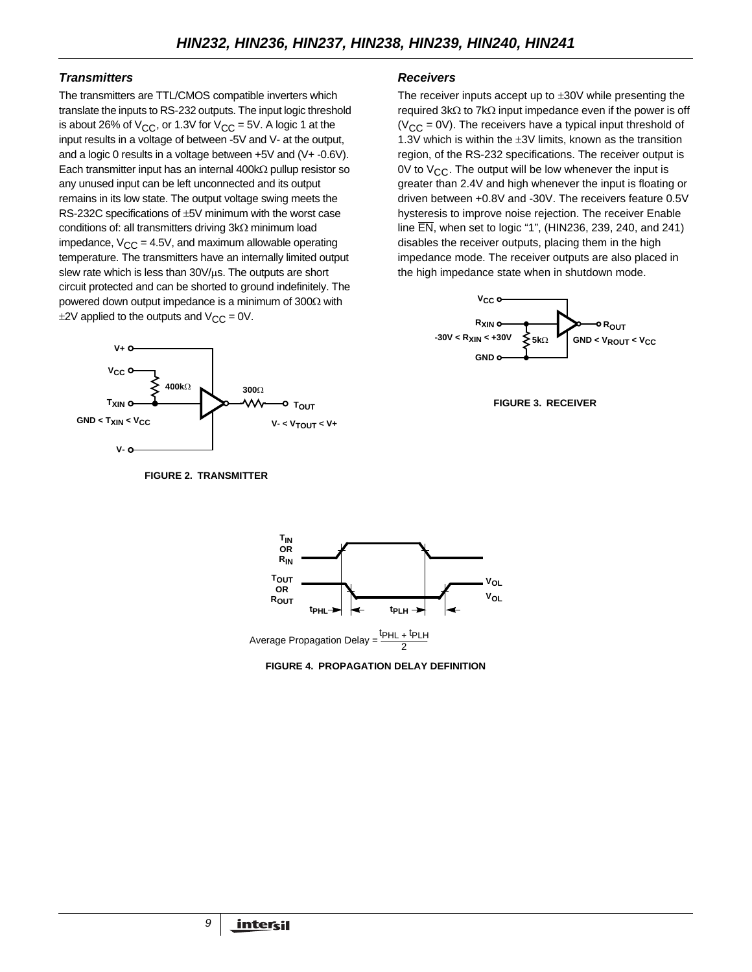# *Transmitters*

The transmitters are TTL/CMOS compatible inverters which translate the inputs to RS-232 outputs. The input logic threshold is about 26% of  $V_{CC}$ , or 1.3V for  $V_{CC}$  = 5V. A logic 1 at the input results in a voltage of between -5V and V- at the output, and a logic 0 results in a voltage between +5V and (V+ -0.6V). Each transmitter input has an internal 400kΩ pullup resistor so any unused input can be left unconnected and its output remains in its low state. The output voltage swing meets the RS-232C specifications of ±5V minimum with the worst case conditions of: all transmitters driving 3kΩ minimum load impedance,  $V_{CC} = 4.5V$ , and maximum allowable operating temperature. The transmitters have an internally limited output slew rate which is less than  $30V/\mu s$ . The outputs are short circuit protected and can be shorted to ground indefinitely. The powered down output impedance is a minimum of 300Ω with  $\pm$ 2V applied to the outputs and V<sub>CC</sub> = 0V.



**FIGURE 2. TRANSMITTER**

### *Receivers*

The receiver inputs accept up to  $\pm 30V$  while presenting the required 3kΩ to 7kΩ input impedance even if the power is off  $(V_{CC} = 0V)$ . The receivers have a typical input threshold of 1.3V which is within the ±3V limits, known as the transition region, of the RS-232 specifications. The receiver output is 0V to  $V_{CC}$ . The output will be low whenever the input is greater than 2.4V and high whenever the input is floating or driven between +0.8V and -30V. The receivers feature 0.5V hysteresis to improve noise rejection. The receiver Enable line EN, when set to logic "1", (HIN236, 239, 240, and 241) disables the receiver outputs, placing them in the high impedance mode. The receiver outputs are also placed in the high impedance state when in shutdown mode.







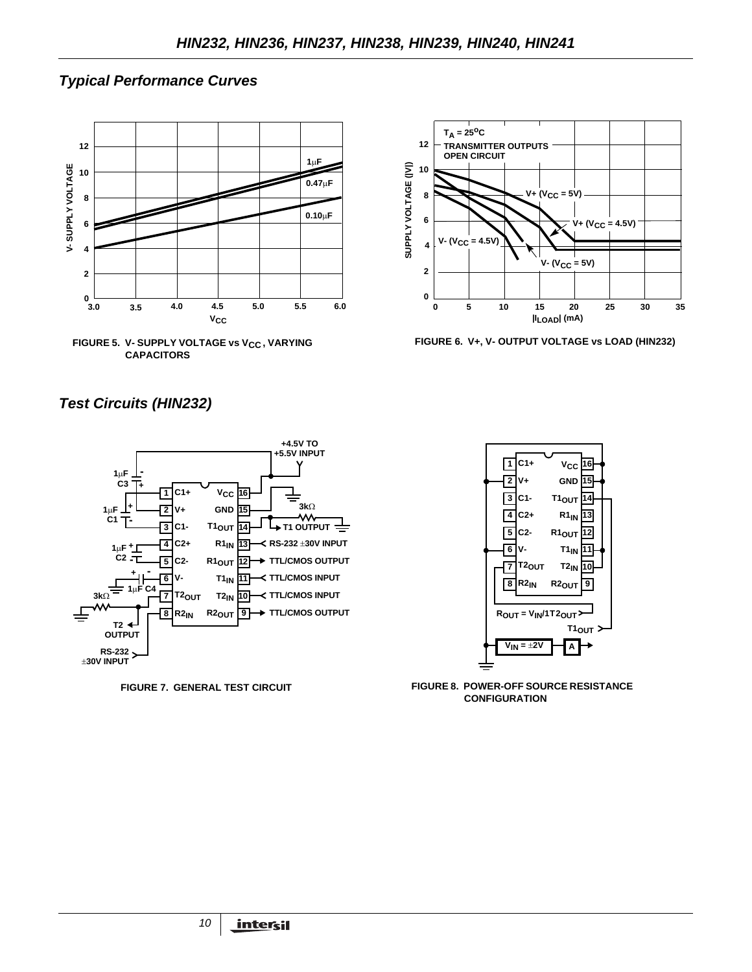# *Typical Performance Curves*







**FIGURE 6. V+, V- OUTPUT VOLTAGE vs LOAD (HIN232)**

# *Test Circuits (HIN232)*





**FIGURE 7. GENERAL TEST CIRCUIT FIGURE 8. POWER-OFF SOURCE RESISTANCE CONFIGURATION**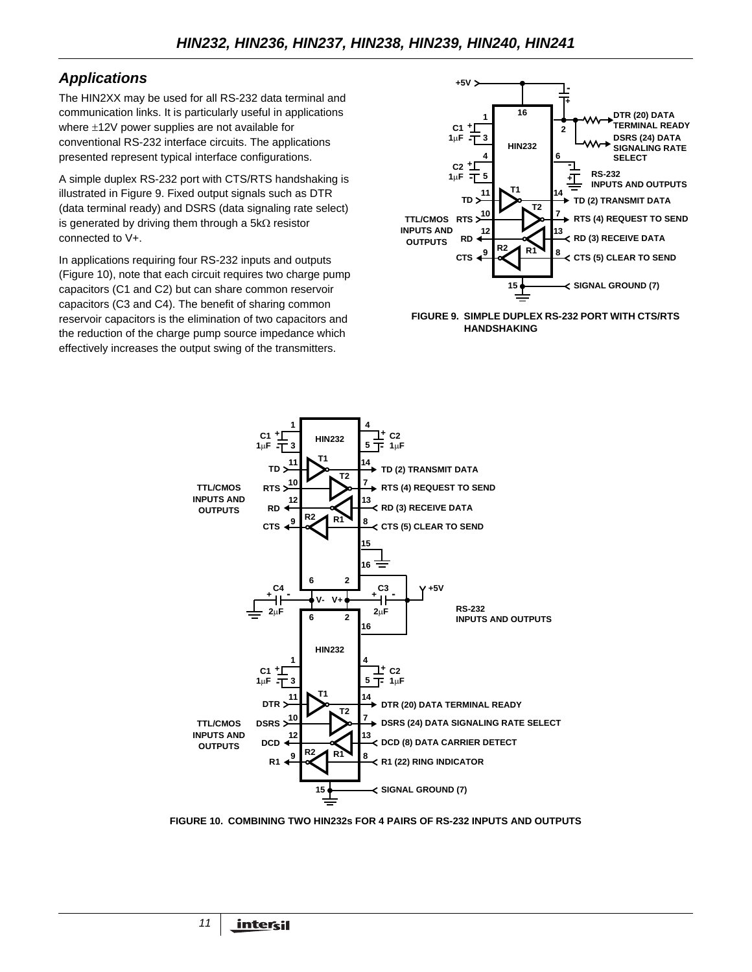# *Applications*

The HIN2XX may be used for all RS-232 data terminal and communication links. It is particularly useful in applications where ±12V power supplies are not available for conventional RS-232 interface circuits. The applications presented represent typical interface configurations.

A simple duplex RS-232 port with CTS/RTS handshaking is illustrated in Figure 9. Fixed output signals such as DTR (data terminal ready) and DSRS (data signaling rate select) is generated by driving them through a 5kΩ resistor connected to V+.

In applications requiring four RS-232 inputs and outputs (Figure 10), note that each circuit requires two charge pump capacitors (C1 and C2) but can share common reservoir capacitors (C3 and C4). The benefit of sharing common reservoir capacitors is the elimination of two capacitors and the reduction of the charge pump source impedance which effectively increases the output swing of the transmitters.



**FIGURE 9. SIMPLE DUPLEX RS-232 PORT WITH CTS/RTS HANDSHAKING**



**FIGURE 10. COMBINING TWO HIN232s FOR 4 PAIRS OF RS-232 INPUTS AND OUTPUTS**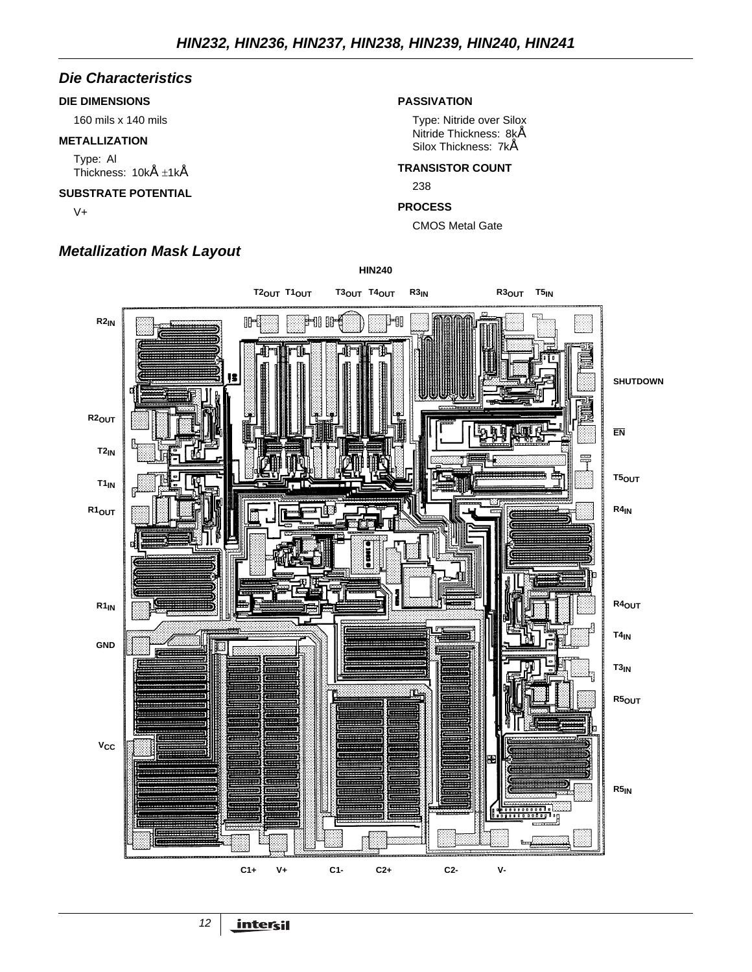# *Die Characteristics*

### **DIE DIMENSIONS**

160 mils x 140 mils

### **METALLIZATION**

Type: Al Thickness: 10kÅ ±1kÅ

### **SUBSTRATE POTENTIAL**

V+

# *Metallization Mask Layout*

### **PASSIVATION**

Type: Nitride over Silox Nitride Thickness: 8kÅ Silox Thickness: 7kÅ

### **TRANSISTOR COUNT**

238

### **PROCESS**

CMOS Metal Gate

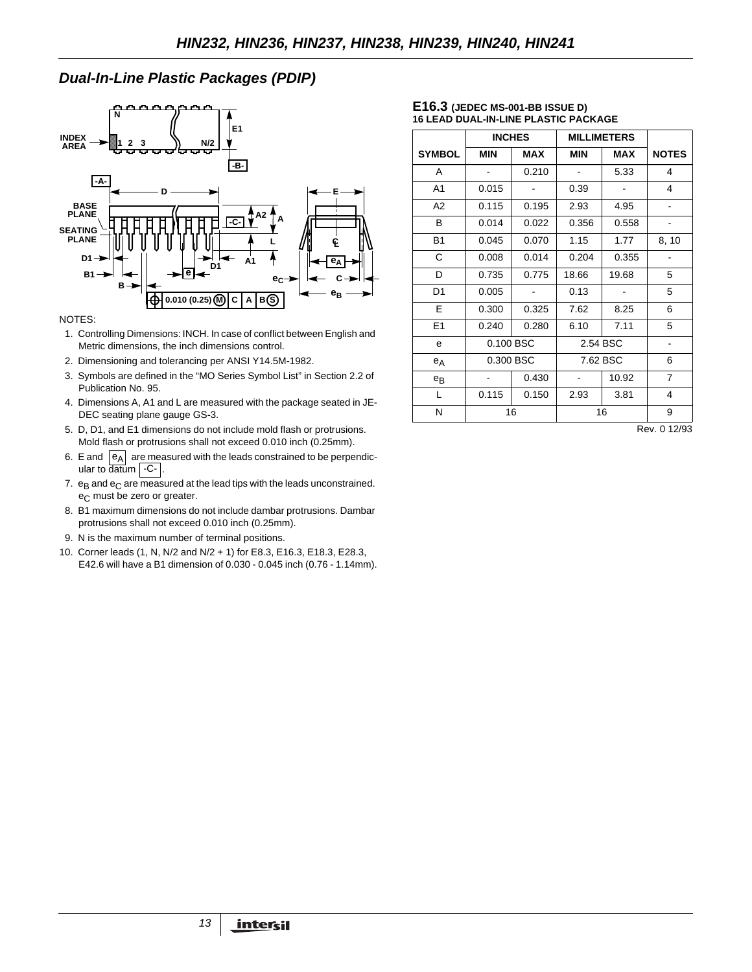# *Dual-In-Line Plastic Packages (PDIP)*



#### NOTES:

- 1. Controlling Dimensions: INCH. In case of conflict between English and Metric dimensions, the inch dimensions control.
- 2. Dimensioning and tolerancing per ANSI Y14.5M**-**1982.
- 3. Symbols are defined in the "MO Series Symbol List" in Section 2.2 of Publication No. 95.
- 4. Dimensions A, A1 and L are measured with the package seated in JE-DEC seating plane gauge GS**-**3.
- 5. D, D1, and E1 dimensions do not include mold flash or protrusions. Mold flash or protrusions shall not exceed 0.010 inch (0.25mm).
- 6. E and  $\left| \begin{smallmatrix} e_A \end{smallmatrix} \right|$  are measured with the leads constrained to be perpendicular to datum | -C- |.
- 7.  $e_B$  and  $e_C$  are measured at the lead tips with the leads unconstrained. e<sub>C</sub> must be zero or greater.
- 8. B1 maximum dimensions do not include dambar protrusions. Dambar protrusions shall not exceed 0.010 inch (0.25mm).
- 9. N is the maximum number of terminal positions.
- 10. Corner leads (1, N, N/2 and N/2 + 1) for E8.3, E16.3, E18.3, E28.3, E42.6 will have a B1 dimension of 0.030 - 0.045 inch (0.76 - 1.14mm).

#### **E16.3 (JEDEC MS-001-BB ISSUE D) 16 LEAD DUAL-IN-LINE PLASTIC PACKAGE**

|                | <b>INCHES</b><br><b>MILLIMETERS</b> |            |            |            |              |
|----------------|-------------------------------------|------------|------------|------------|--------------|
| <b>SYMBOL</b>  | <b>MIN</b>                          | <b>MAX</b> | <b>MIN</b> | <b>MAX</b> | <b>NOTES</b> |
| A              |                                     | 0.210      |            | 5.33       | 4            |
| A <sub>1</sub> | 0.015                               |            | 0.39       |            | 4            |
| A <sub>2</sub> | 0.115                               | 0.195      | 2.93       | 4.95       |              |
| B.             | 0.014                               | 0.022      | 0.356      | 0.558      |              |
| <b>B1</b>      | 0.045                               | 0.070      | 1.15       | 1.77       | 8, 10        |
| С              | 0.008                               | 0.014      | 0.204      | 0.355      |              |
| D              | 0.735                               | 0.775      | 18.66      | 19.68      | 5            |
| D <sub>1</sub> | 0.005                               |            | 0.13       |            | 5            |
| E              | 0.300                               | 0.325      | 7.62       | 8.25       | 6            |
| E1             | 0.240                               | 0.280      | 6.10       | 7.11       | 5            |
| e              |                                     | 0.100 BSC  | 2.54 BSC   |            |              |
| $e_A$          |                                     | 0.300 BSC  |            | 7.62 BSC   |              |
| $e_{B}$        |                                     | 0.430      |            | 10.92      | 7            |
| L              | 0.115                               | 0.150      | 2.93       | 3.81       | 4            |
| N              |                                     | 16         |            | 16         | 9            |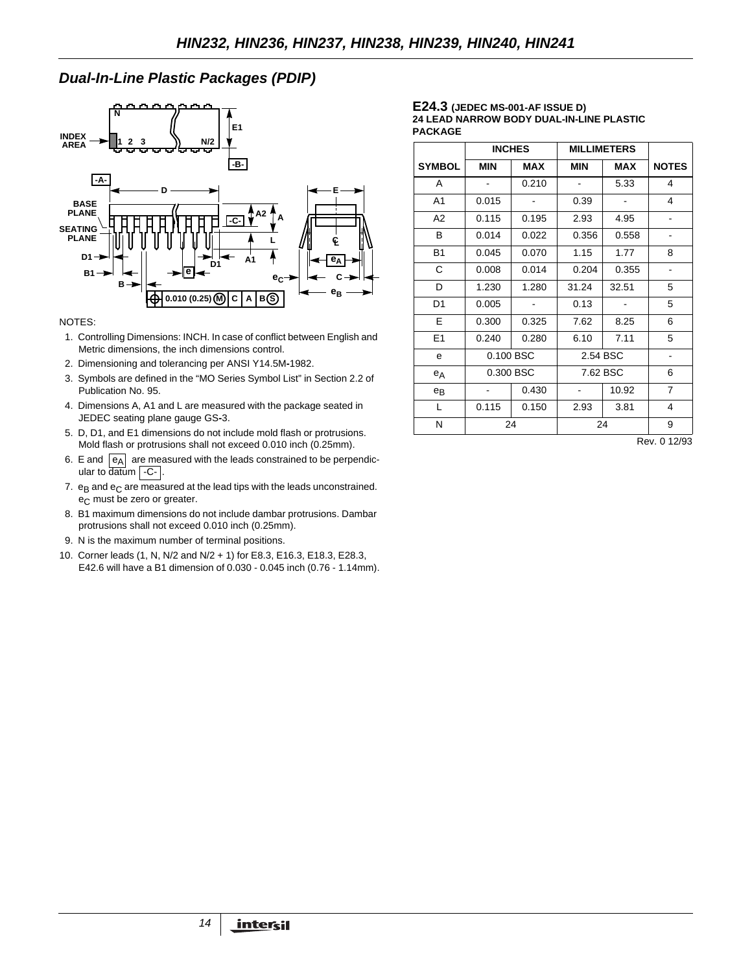# *Dual-In-Line Plastic Packages (PDIP)*



#### NOTES:

- 1. Controlling Dimensions: INCH. In case of conflict between English and Metric dimensions, the inch dimensions control.
- 2. Dimensioning and tolerancing per ANSI Y14.5M**-**1982.
- 3. Symbols are defined in the "MO Series Symbol List" in Section 2.2 of Publication No. 95.
- 4. Dimensions A, A1 and L are measured with the package seated in JEDEC seating plane gauge GS**-**3.
- 5. D, D1, and E1 dimensions do not include mold flash or protrusions. Mold flash or protrusions shall not exceed 0.010 inch (0.25mm).
- 6. E and  $|e_A|$  are measured with the leads constrained to be perpendicular to datum | -C- |.
- 7.  $e_B$  and  $e_C$  are measured at the lead tips with the leads unconstrained. e<sub>C</sub> must be zero or greater.
- 8. B1 maximum dimensions do not include dambar protrusions. Dambar protrusions shall not exceed 0.010 inch (0.25mm).
- 9. N is the maximum number of terminal positions.
- 10. Corner leads (1, N, N/2 and N/2 + 1) for E8.3, E16.3, E18.3, E28.3, E42.6 will have a B1 dimension of 0.030 - 0.045 inch (0.76 - 1.14mm).

#### **E24.3 (JEDEC MS-001-AF ISSUE D) 24 LEAD NARROW BODY DUAL-IN-LINE PLASTIC PACKAGE**

|            | <b>INCHES</b> |                              | <b>MILLIMETERS</b> |                                                        |
|------------|---------------|------------------------------|--------------------|--------------------------------------------------------|
| <b>MIN</b> | <b>MAX</b>    | MIN                          | MAX                | <b>NOTES</b>                                           |
|            | 0.210         |                              | 5.33               | 4                                                      |
| 0.015      |               | 0.39                         |                    | 4                                                      |
| 0.115      | 0.195         | 2.93                         | 4.95               |                                                        |
| 0.014      | 0.022         | 0.356                        | 0.558              |                                                        |
| 0.045      | 0.070         | 1.15                         | 1.77               | 8                                                      |
| 0.008      | 0.014         | 0.204                        | 0.355              | $\overline{\phantom{a}}$                               |
| 1.230      | 1.280         | 31.24                        | 32.51              | 5                                                      |
| 0.005      |               | 0.13                         |                    | 5                                                      |
| 0.300      | 0.325         | 7.62                         | 8.25               | 6                                                      |
| 0.240      | 0.280         | 6.10                         | 7.11               | 5                                                      |
|            |               |                              |                    |                                                        |
|            |               |                              | 7.62 BSC           |                                                        |
|            | 0.430         |                              | 10.92              | $\overline{7}$                                         |
| 0.115      | 0.150         | 2.93                         | 3.81               | 4                                                      |
|            |               | 24                           |                    | 9                                                      |
|            |               | 0.100 BSC<br>0.300 BSC<br>24 |                    | 2.54 BSC<br>$D_{\text{max}}$ $\alpha$ $\alpha$ $\beta$ |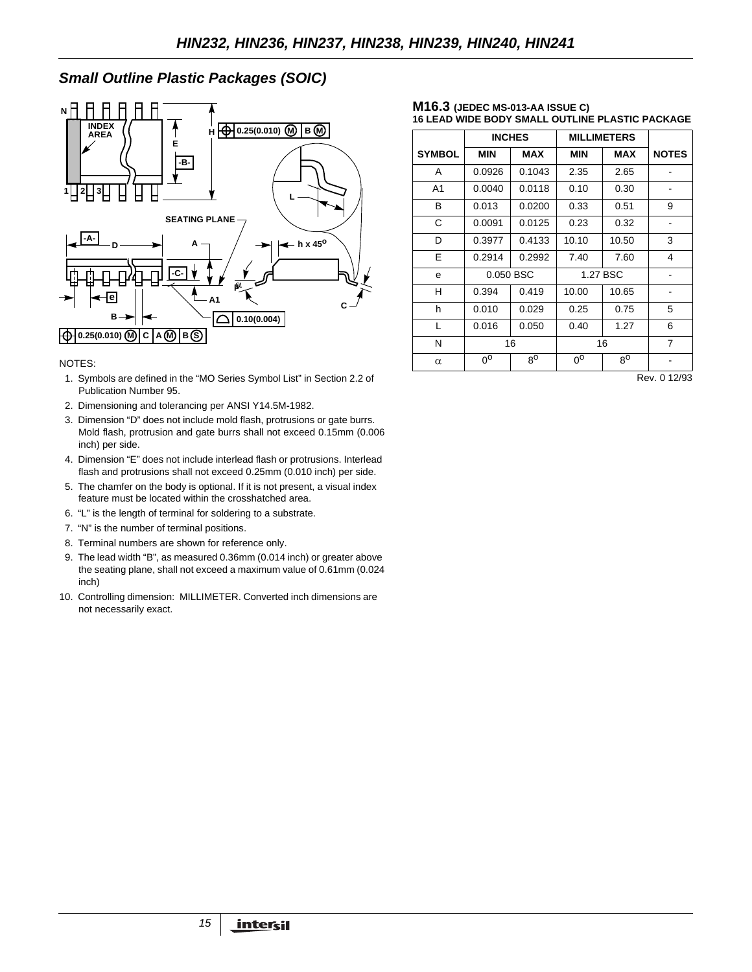# *Small Outline Plastic Packages (SOIC)*



#### NOTES:

- 1. Symbols are defined in the "MO Series Symbol List" in Section 2.2 of Publication Number 95.
- 2. Dimensioning and tolerancing per ANSI Y14.5M**-**1982.
- 3. Dimension "D" does not include mold flash, protrusions or gate burrs. Mold flash, protrusion and gate burrs shall not exceed 0.15mm (0.006 inch) per side.
- 4. Dimension "E" does not include interlead flash or protrusions. Interlead flash and protrusions shall not exceed 0.25mm (0.010 inch) per side.
- 5. The chamfer on the body is optional. If it is not present, a visual index feature must be located within the crosshatched area.
- 6. "L" is the length of terminal for soldering to a substrate.
- 7. "N" is the number of terminal positions.
- 8. Terminal numbers are shown for reference only.
- 9. The lead width "B", as measured 0.36mm (0.014 inch) or greater above the seating plane, shall not exceed a maximum value of 0.61mm (0.024 inch)
- 10. Controlling dimension: MILLIMETER. Converted inch dimensions are not necessarily exact.

#### **M16.3 (JEDEC MS-013-AA ISSUE C) 16 LEAD WIDE BODY SMALL OUTLINE PLASTIC PACKAGE**

|                | <b>INCHES</b> |             | <b>MILLIMETERS</b> |             |                |
|----------------|---------------|-------------|--------------------|-------------|----------------|
| <b>SYMBOL</b>  | <b>MIN</b>    | <b>MAX</b>  | <b>MIN</b>         | <b>MAX</b>  | <b>NOTES</b>   |
| A              | 0.0926        | 0.1043      | 2.35               | 2.65        |                |
| A <sub>1</sub> | 0.0040        | 0.0118      | 0.10               | 0.30        |                |
| В              | 0.013         | 0.0200      | 0.33               | 0.51        | 9              |
| C              | 0.0091        | 0.0125      | 0.23               | 0.32        |                |
| D              | 0.3977        | 0.4133      | 10.10              | 10.50       | 3              |
| Е              | 0.2914        | 0.2992      | 7.40               | 7.60        | 4              |
| e              | 0.050 BSC     |             | 1.27 BSC           |             |                |
| н              | 0.394         | 0.419       | 10.00              | 10.65       |                |
| h              | 0.010         | 0.029       | 0.25               | 0.75        | 5              |
| L              | 0.016         | 0.050       | 0.40               | 1.27        | 6              |
| N              | 16            |             |                    | 16          | $\overline{7}$ |
| $\alpha$       | $0^{\circ}$   | $8^{\circ}$ | $0^{\circ}$        | $8^{\circ}$ |                |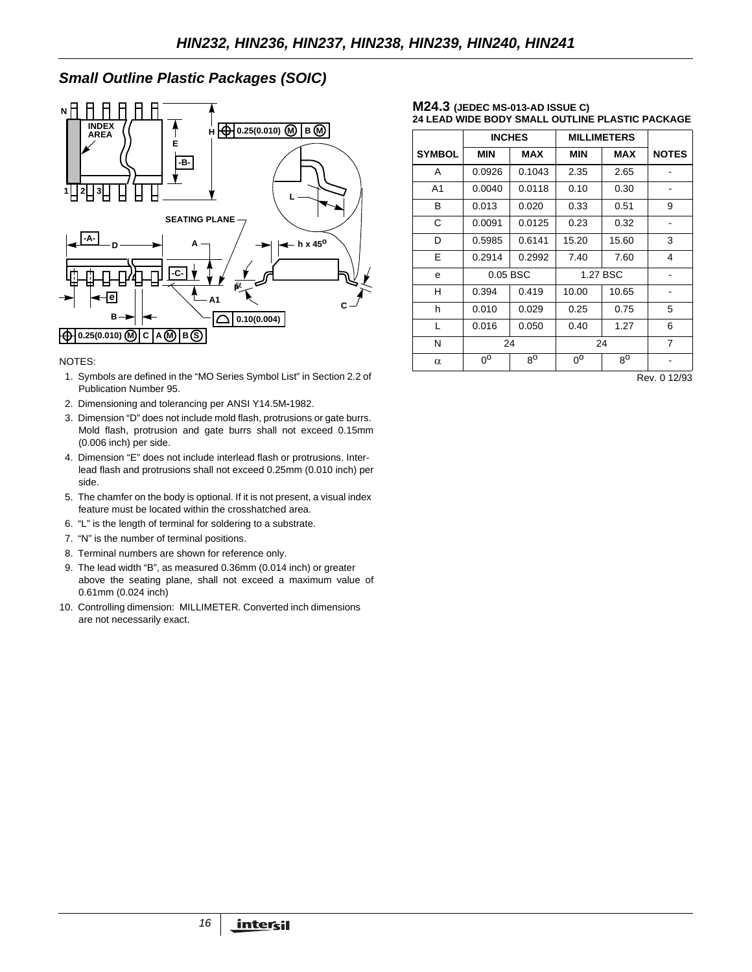# *Small Outline Plastic Packages (SOIC)*



### NOTES:

- 1. Symbols are defined in the "MO Series Symbol List" in Section 2.2 of Publication Number 95.
- 2. Dimensioning and tolerancing per ANSI Y14.5M**-**1982.
- 3. Dimension "D" does not include mold flash, protrusions or gate burrs. Mold flash, protrusion and gate burrs shall not exceed 0.15mm (0.006 inch) per side.
- 4. Dimension "E" does not include interlead flash or protrusions. Interlead flash and protrusions shall not exceed 0.25mm (0.010 inch) per side.
- 5. The chamfer on the body is optional. If it is not present, a visual index feature must be located within the crosshatched area.
- 6. "L" is the length of terminal for soldering to a substrate.
- 7. "N" is the number of terminal positions.
- 8. Terminal numbers are shown for reference only.
- 9. The lead width "B", as measured 0.36mm (0.014 inch) or greater
- above the seating plane, shall not exceed a maximum value of 0.61mm (0.024 inch)
- 10. Controlling dimension: MILLIMETER. Converted inch dimensions are not necessarily exact.

#### **M24.3 (JEDEC MS-013-AD ISSUE C) 24 LEAD WIDE BODY SMALL OUTLINE PLASTIC PACKAGE**

|                | <b>INCHES</b>  |             | <b>MILLIMETERS</b> |             |              |
|----------------|----------------|-------------|--------------------|-------------|--------------|
| <b>SYMBOL</b>  | <b>MIN</b>     | <b>MAX</b>  | <b>MIN</b>         | <b>MAX</b>  | <b>NOTES</b> |
| A              | 0.0926         | 0.1043      | 2.35               | 2.65        |              |
| A <sub>1</sub> | 0.0040         | 0.0118      | 0.10               | 0.30        |              |
| B              | 0.013          | 0.020       | 0.33               | 0.51        | 9            |
| C              | 0.0091         | 0.0125      | 0.23               | 0.32        |              |
| D              | 0.5985         | 0.6141      | 15.20              | 15.60       | 3            |
| E              | 0.2914         | 0.2992      | 7.40               | 7.60        | 4            |
| e              | 0.05 BSC       |             | 1.27 BSC           |             |              |
| н              | 0.394          | 0.419       | 10.00              | 10.65       |              |
| h              | 0.010          | 0.029       | 0.25               | 0.75        | 5            |
| L              | 0.016          | 0.050       | 0.40               | 1.27        | 6            |
| N              | 24             |             | 24                 |             | 7            |
| $\alpha$       | $0^{\text{o}}$ | $8^{\circ}$ | $0^{\circ}$        | $8^{\circ}$ |              |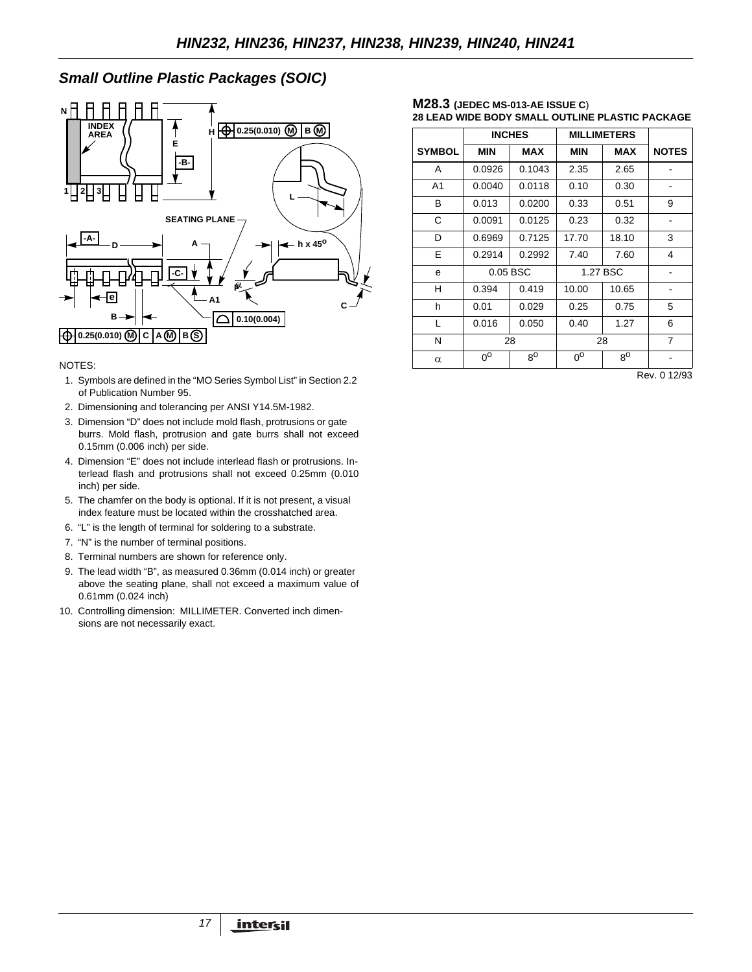# *Small Outline Plastic Packages (SOIC)*



#### NOTES:

- 1. Symbols are defined in the "MO Series Symbol List" in Section 2.2 of Publication Number 95.
- 2. Dimensioning and tolerancing per ANSI Y14.5M**-**1982.
- 3. Dimension "D" does not include mold flash, protrusions or gate burrs. Mold flash, protrusion and gate burrs shall not exceed 0.15mm (0.006 inch) per side.
- 4. Dimension "E" does not include interlead flash or protrusions. Interlead flash and protrusions shall not exceed 0.25mm (0.010 inch) per side.
- 5. The chamfer on the body is optional. If it is not present, a visual index feature must be located within the crosshatched area.
- 6. "L" is the length of terminal for soldering to a substrate.
- 7. "N" is the number of terminal positions.
- 8. Terminal numbers are shown for reference only.
- 9. The lead width "B", as measured 0.36mm (0.014 inch) or greater above the seating plane, shall not exceed a maximum value of 0.61mm (0.024 inch)
- 10. Controlling dimension: MILLIMETER. Converted inch dimensions are not necessarily exact.

#### **M28.3 (JEDEC MS-013-AE ISSUE C**) **28 LEAD WIDE BODY SMALL OUTLINE PLASTIC PACKAGE**

|                | <b>INCHES</b>  |             | <b>MILLIMETERS</b> |             |                |
|----------------|----------------|-------------|--------------------|-------------|----------------|
| <b>SYMBOL</b>  | <b>MIN</b>     | MAX         | <b>MIN</b>         | <b>MAX</b>  | <b>NOTES</b>   |
| A              | 0.0926         | 0.1043      | 2.35               | 2.65        |                |
| A <sub>1</sub> | 0.0040         | 0.0118      | 0.10               | 0.30        |                |
| B              | 0.013          | 0.0200      | 0.33               | 0.51        | 9              |
| C              | 0.0091         | 0.0125      | 0.23               | 0.32        |                |
| D              | 0.6969         | 0.7125      | 17.70              | 18.10       | 3              |
| E              | 0.2914         | 0.2992      | 7.40               | 7.60        | 4              |
| e              | 0.05 BSC       |             | 1.27 BSC           |             |                |
| н              | 0.394          | 0.419       | 10.00              | 10.65       |                |
| h              | 0.01           | 0.029       | 0.25               | 0.75        | 5              |
| L              | 0.016          | 0.050       | 0.40               | 1.27        | 6              |
| N              | 28             |             | 28                 |             | $\overline{7}$ |
| $\alpha$       | $0^{\text{o}}$ | $8^{\circ}$ | $0^{\text{o}}$     | $8^{\circ}$ |                |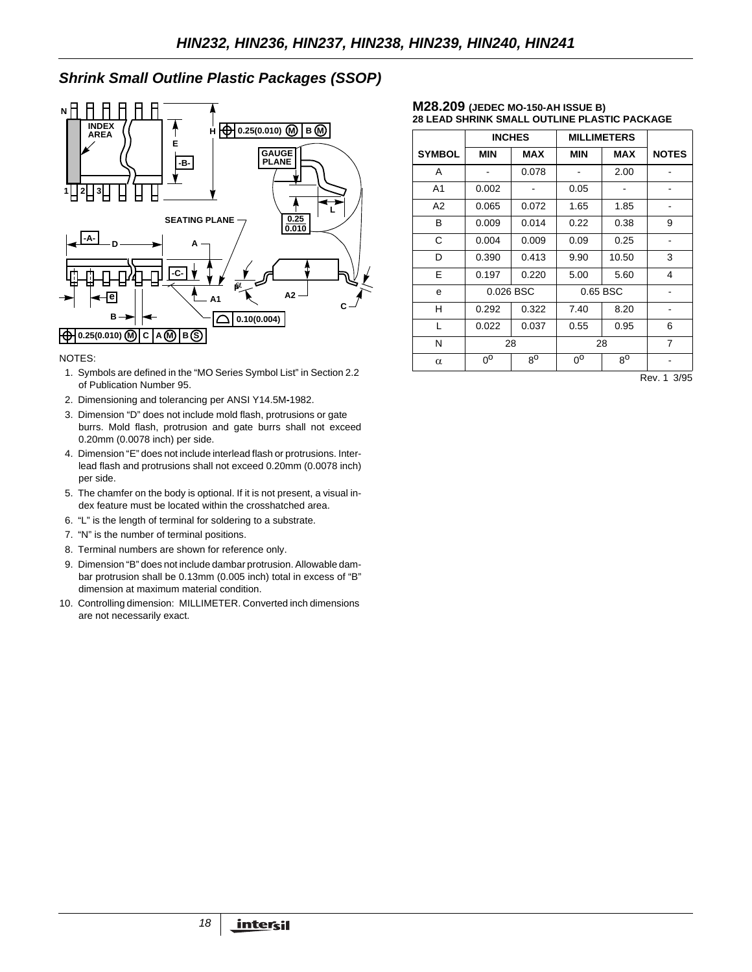# *Shrink Small Outline Plastic Packages (SSOP)*



### NOTES:

- 1. Symbols are defined in the "MO Series Symbol List" in Section 2.2 of Publication Number 95.
- 2. Dimensioning and tolerancing per ANSI Y14.5M**-**1982.
- 3. Dimension "D" does not include mold flash, protrusions or gate burrs. Mold flash, protrusion and gate burrs shall not exceed 0.20mm (0.0078 inch) per side.
- 4. Dimension "E" does not include interlead flash or protrusions. Interlead flash and protrusions shall not exceed 0.20mm (0.0078 inch) per side.
- 5. The chamfer on the body is optional. If it is not present, a visual index feature must be located within the crosshatched area.
- 6. "L" is the length of terminal for soldering to a substrate.
- 7. "N" is the number of terminal positions.
- 8. Terminal numbers are shown for reference only.
- 9. Dimension "B" does not include dambar protrusion. Allowable dambar protrusion shall be 0.13mm (0.005 inch) total in excess of "B" dimension at maximum material condition.
- 10. Controlling dimension: MILLIMETER. Converted inch dimensions are not necessarily exact.

#### **M28.209 (JEDEC MO-150-AH ISSUE B) 28 LEAD SHRINK SMALL OUTLINE PLASTIC PACKAGE**

|               | <b>INCHES</b> |             | <b>MILLIMETERS</b> |             |              |
|---------------|---------------|-------------|--------------------|-------------|--------------|
| <b>SYMBOL</b> | MIN           | <b>MAX</b>  | <b>MIN</b>         | <b>MAX</b>  | <b>NOTES</b> |
| A             |               | 0.078       |                    | 2.00        |              |
| A1            | 0.002         |             | 0.05               |             |              |
| A2            | 0.065         | 0.072       | 1.65               | 1.85        |              |
| B             | 0.009         | 0.014       | 0.22               | 0.38        | 9            |
| C             | 0.004         | 0.009       | 0.09               | 0.25        |              |
| D             | 0.390         | 0.413       | 9.90               | 10.50       | 3            |
| E             | 0.197         | 0.220       | 5.00               | 5.60        | 4            |
| e             | 0.026 BSC     |             | 0.65 BSC           |             |              |
| н             | 0.292         | 0.322       | 7.40               | 8.20        |              |
| L             | 0.022         | 0.037       | 0.55               | 0.95        | 6            |
| N             | 28            |             | 28                 |             | 7            |
| $\alpha$      | $0^{\circ}$   | $8^{\circ}$ | ი°                 | $8^{\circ}$ |              |

Rev. 1 3/95